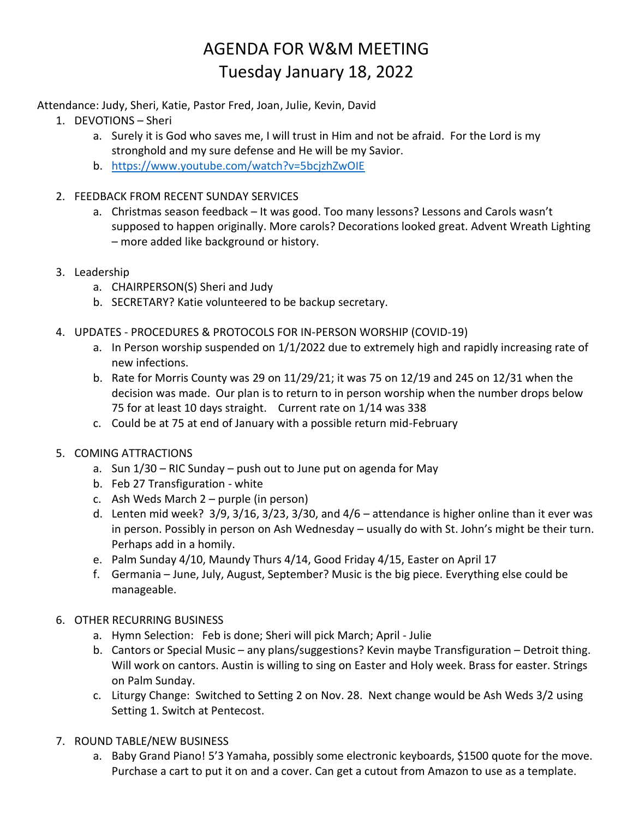## AGENDA FOR W&M MEETING Tuesday January 18, 2022

## Attendance: Judy, Sheri, Katie, Pastor Fred, Joan, Julie, Kevin, David

- 1. DEVOTIONS Sheri
	- a. Surely it is God who saves me, I will trust in Him and not be afraid. For the Lord is my stronghold and my sure defense and He will be my Savior.
	- b. <https://www.youtube.com/watch?v=5bcjzhZwOIE>
- 2. FEEDBACK FROM RECENT SUNDAY SERVICES
	- a. Christmas season feedback It was good. Too many lessons? Lessons and Carols wasn't supposed to happen originally. More carols? Decorations looked great. Advent Wreath Lighting – more added like background or history.
- 3. Leadership
	- a. CHAIRPERSON(S) Sheri and Judy
	- b. SECRETARY? Katie volunteered to be backup secretary.
- 4. UPDATES PROCEDURES & PROTOCOLS FOR IN-PERSON WORSHIP (COVID-19)
	- a. In Person worship suspended on 1/1/2022 due to extremely high and rapidly increasing rate of new infections.
	- b. Rate for Morris County was 29 on 11/29/21; it was 75 on 12/19 and 245 on 12/31 when the decision was made. Our plan is to return to in person worship when the number drops below 75 for at least 10 days straight. Current rate on 1/14 was 338
	- c. Could be at 75 at end of January with a possible return mid-February
- 5. COMING ATTRACTIONS
	- a. Sun 1/30 RIC Sunday push out to June put on agenda for May
	- b. Feb 27 Transfiguration white
	- c. Ash Weds March 2 purple (in person)
	- d. Lenten mid week? 3/9, 3/16, 3/23, 3/30, and 4/6 attendance is higher online than it ever was in person. Possibly in person on Ash Wednesday – usually do with St. John's might be their turn. Perhaps add in a homily.
	- e. Palm Sunday 4/10, Maundy Thurs 4/14, Good Friday 4/15, Easter on April 17
	- f. Germania June, July, August, September? Music is the big piece. Everything else could be manageable.
- 6. OTHER RECURRING BUSINESS
	- a. Hymn Selection: Feb is done; Sheri will pick March; April Julie
	- b. Cantors or Special Music any plans/suggestions? Kevin maybe Transfiguration Detroit thing. Will work on cantors. Austin is willing to sing on Easter and Holy week. Brass for easter. Strings on Palm Sunday.
	- c. Liturgy Change: Switched to Setting 2 on Nov. 28. Next change would be Ash Weds 3/2 using Setting 1. Switch at Pentecost.
- 7. ROUND TABLE/NEW BUSINESS
	- a. Baby Grand Piano! 5'3 Yamaha, possibly some electronic keyboards, \$1500 quote for the move. Purchase a cart to put it on and a cover. Can get a cutout from Amazon to use as a template.